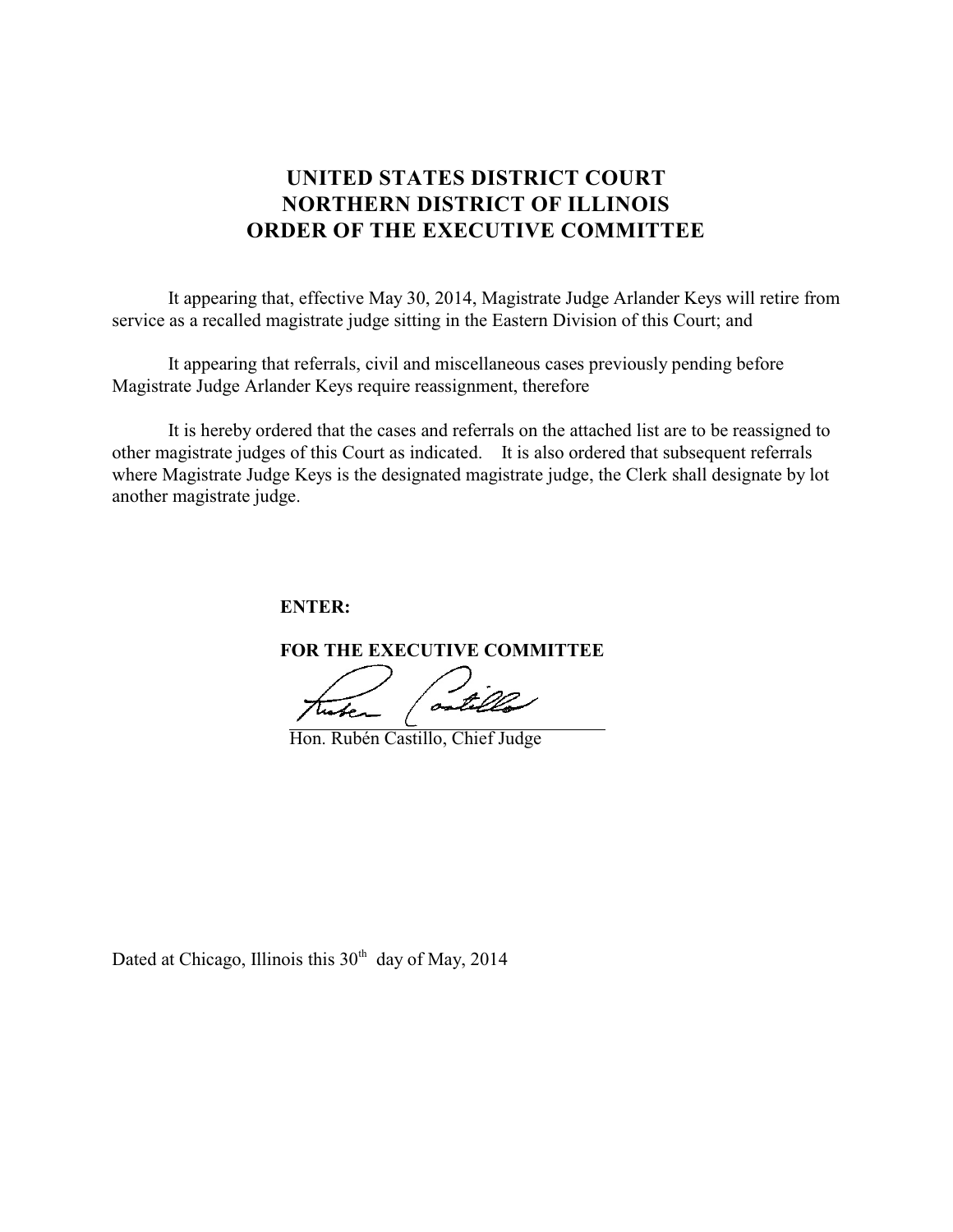## **UNITED STATES DISTRICT COURT NORTHERN DISTRICT OF ILLINOIS ORDER OF THE EXECUTIVE COMMITTEE**

It appearing that, effective May 30, 2014, Magistrate Judge Arlander Keys will retire from service as a recalled magistrate judge sitting in the Eastern Division of this Court; and

It appearing that referrals, civil and miscellaneous cases previously pending before Magistrate Judge Arlander Keys require reassignment, therefore

It is hereby ordered that the cases and referrals on the attached list are to be reassigned to other magistrate judges of this Court as indicated. It is also ordered that subsequent referrals where Magistrate Judge Keys is the designated magistrate judge, the Clerk shall designate by lot another magistrate judge.

**ENTER:**

**FOR THE EXECUTIVE COMMITTEE**

Sille tuber

Hon. Rubén Castillo, Chief Judge

Dated at Chicago, Illinois this  $30<sup>th</sup>$  day of May, 2014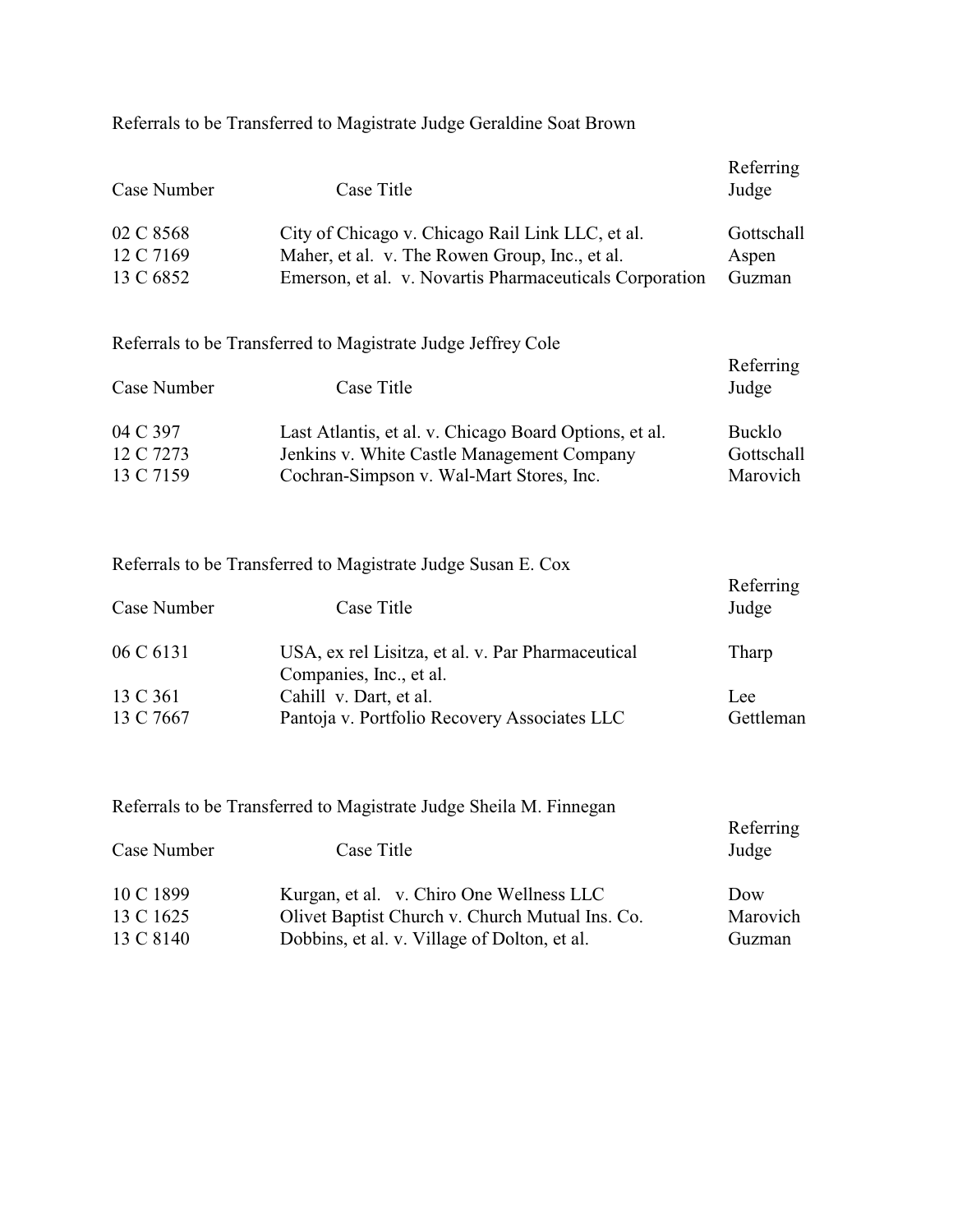Referrals to be Transferred to Magistrate Judge Geraldine Soat Brown

| Case Number                         | Case Title                                                                                                                                                    | Referring<br>Judge                      |
|-------------------------------------|---------------------------------------------------------------------------------------------------------------------------------------------------------------|-----------------------------------------|
| 02 C 8568<br>12 C 7169<br>13 C 6852 | City of Chicago v. Chicago Rail Link LLC, et al.<br>Maher, et al. v. The Rowen Group, Inc., et al.<br>Emerson, et al. v. Novartis Pharmaceuticals Corporation | Gottschall<br>Aspen<br>Guzman           |
| Case Number                         | Referrals to be Transferred to Magistrate Judge Jeffrey Cole<br>Case Title                                                                                    | Referring<br>Judge                      |
| 04 C 397<br>12 C 7273<br>13 C 7159  | Last Atlantis, et al. v. Chicago Board Options, et al.<br>Jenkins v. White Castle Management Company<br>Cochran-Simpson v. Wal-Mart Stores, Inc.              | <b>Bucklo</b><br>Gottschall<br>Marovich |
| Case Number                         | Referrals to be Transferred to Magistrate Judge Susan E. Cox<br>Case Title                                                                                    | Referring<br>Judge                      |
| 06 C 6131                           | USA, ex rel Lisitza, et al. v. Par Pharmaceutical<br>Companies, Inc., et al.                                                                                  | Tharp                                   |

| 13 C 361  | Cahill v. Dart, et al.                       | Lee       |
|-----------|----------------------------------------------|-----------|
| 13 C 7667 | Pantoja v. Portfolio Recovery Associates LLC | Gettleman |

Referrals to be Transferred to Magistrate Judge Sheila M. Finnegan

| Case Number | Case Title                                      | Referring<br>Judge |
|-------------|-------------------------------------------------|--------------------|
| 10 C 1899   | Kurgan, et al. v. Chiro One Wellness LLC        | Dow                |
| 13 C 1625   | Olivet Baptist Church v. Church Mutual Ins. Co. | Marovich           |
| 13 C 8140   | Dobbins, et al. v. Village of Dolton, et al.    | Guzman             |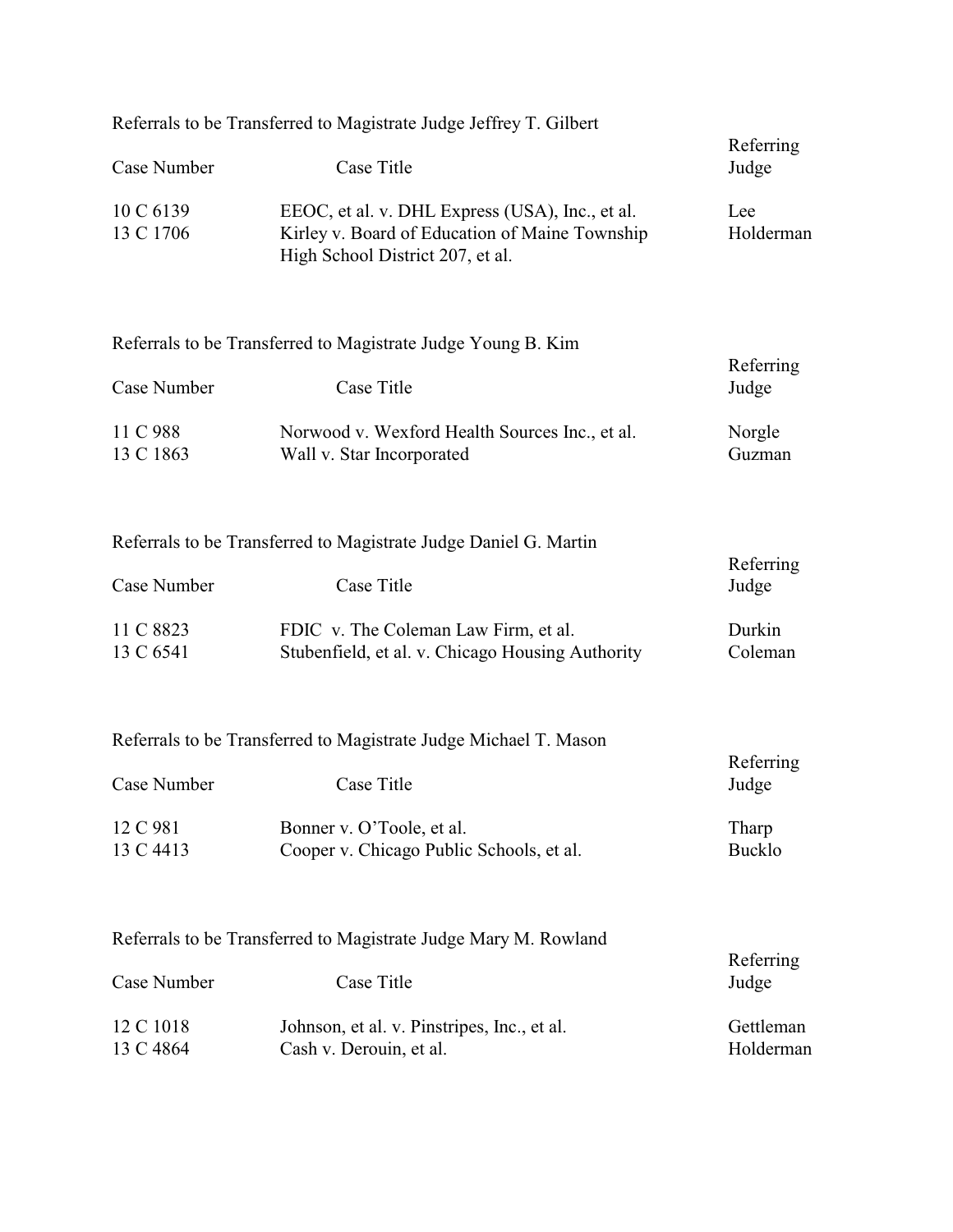|                        | Referrals to be Transferred to Magistrate Judge Jeffrey T. Gilbert                                                                    |                        |
|------------------------|---------------------------------------------------------------------------------------------------------------------------------------|------------------------|
| Case Number            | Case Title                                                                                                                            | Referring<br>Judge     |
| 10 C 6139<br>13 C 1706 | EEOC, et al. v. DHL Express (USA), Inc., et al.<br>Kirley v. Board of Education of Maine Township<br>High School District 207, et al. | Lee<br>Holderman       |
|                        | Referrals to be Transferred to Magistrate Judge Young B. Kim                                                                          |                        |
| Case Number            | Case Title                                                                                                                            | Referring<br>Judge     |
| 11 C 988<br>13 C 1863  | Norwood v. Wexford Health Sources Inc., et al.<br>Wall v. Star Incorporated                                                           | Norgle<br>Guzman       |
|                        | Referrals to be Transferred to Magistrate Judge Daniel G. Martin                                                                      |                        |
| Case Number            | Case Title                                                                                                                            | Referring<br>Judge     |
| 11 C 8823<br>13 C 6541 | FDIC v. The Coleman Law Firm, et al.<br>Stubenfield, et al. v. Chicago Housing Authority                                              | Durkin<br>Coleman      |
|                        | Referrals to be Transferred to Magistrate Judge Michael T. Mason                                                                      |                        |
| Case Number            | Case Title                                                                                                                            | Referring<br>Judge     |
| 12 C 981<br>13 C 4413  | Bonner v. O'Toole, et al.<br>Cooper v. Chicago Public Schools, et al.                                                                 | Tharp<br><b>Bucklo</b> |
|                        | Referrals to be Transferred to Magistrate Judge Mary M. Rowland                                                                       |                        |
| Case Number            | Case Title                                                                                                                            | Referring<br>Judge     |
| 12 C 1018<br>13 C 4864 | Johnson, et al. v. Pinstripes, Inc., et al.<br>Cash v. Derouin, et al.                                                                | Gettleman<br>Holderman |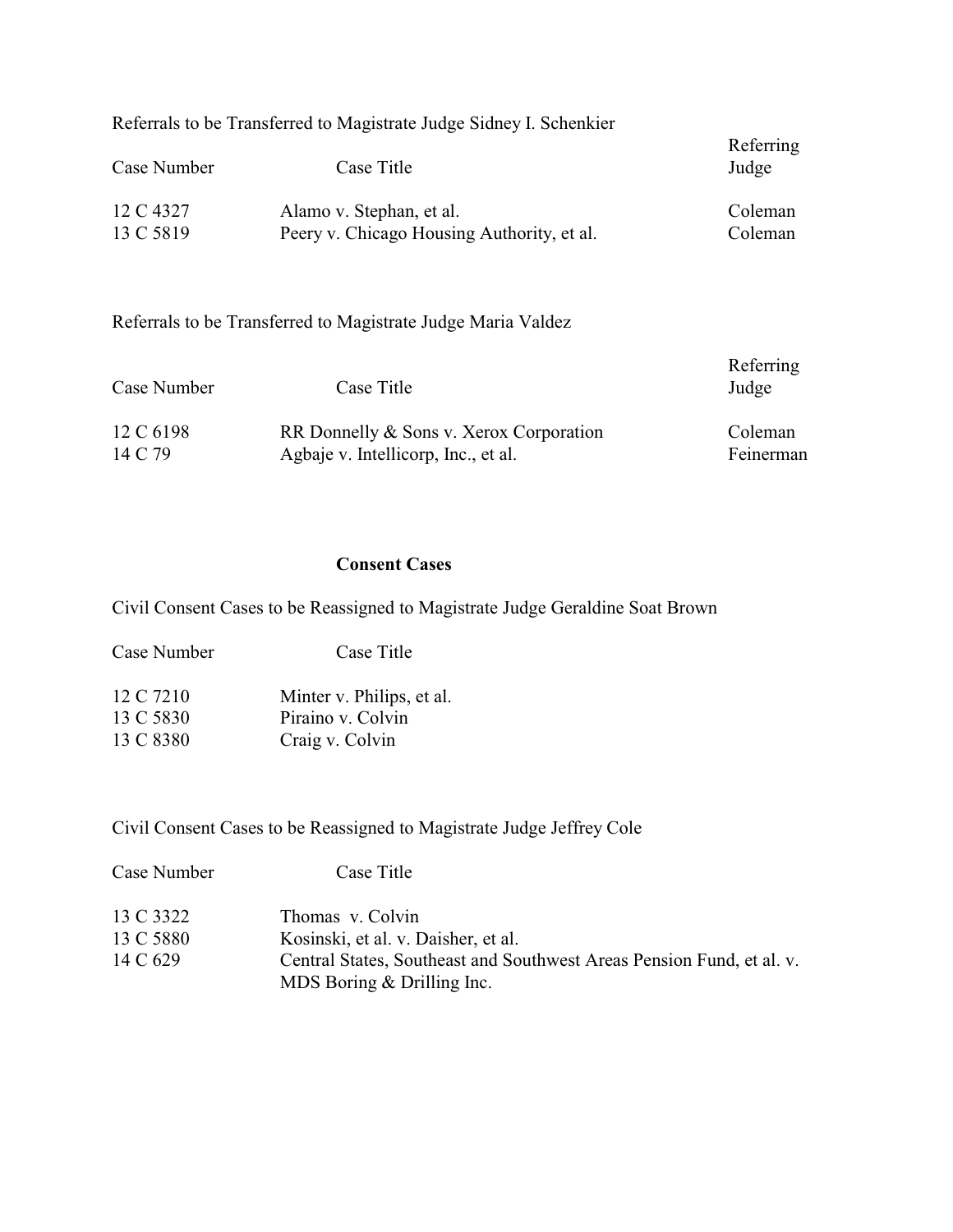|             | Referrals to be Transferred to Magistrate Judge Sidney I. Schenkier |                    |
|-------------|---------------------------------------------------------------------|--------------------|
| Case Number | Case Title                                                          | Referring<br>Judge |
| 12 C 4327   | Alamo v. Stephan, et al.                                            | Coleman            |
| 13 C 5819   | Peery v. Chicago Housing Authority, et al.                          | Coleman            |
|             |                                                                     |                    |

Referrals to be Transferred to Magistrate Judge Maria Valdez

| Case Number | Case Title                              | Referring<br>Judge |
|-------------|-----------------------------------------|--------------------|
| 12 C 6198   | RR Donnelly & Sons v. Xerox Corporation | Coleman            |
| 14 C 79     | Agbaje v. Intellicorp, Inc., et al.     | Feinerman          |

## **Consent Cases**

Civil Consent Cases to be Reassigned to Magistrate Judge Geraldine Soat Brown

| 12 C 7210 | Minter v. Philips, et al. |
|-----------|---------------------------|
| 13 C 5830 | Piraino v. Colvin         |
| 13 C 8380 | Craig v. Colvin           |

Case Number Case Title

Civil Consent Cases to be Reassigned to Magistrate Judge Jeffrey Cole

| Case Number | Case Title                                                                                            |
|-------------|-------------------------------------------------------------------------------------------------------|
| 13 C 3322   | Thomas v. Colvin                                                                                      |
| 13 C 5880   | Kosinski, et al. v. Daisher, et al.                                                                   |
| 14 C 629    | Central States, Southeast and Southwest Areas Pension Fund, et al. v.<br>MDS Boring $&$ Drilling Inc. |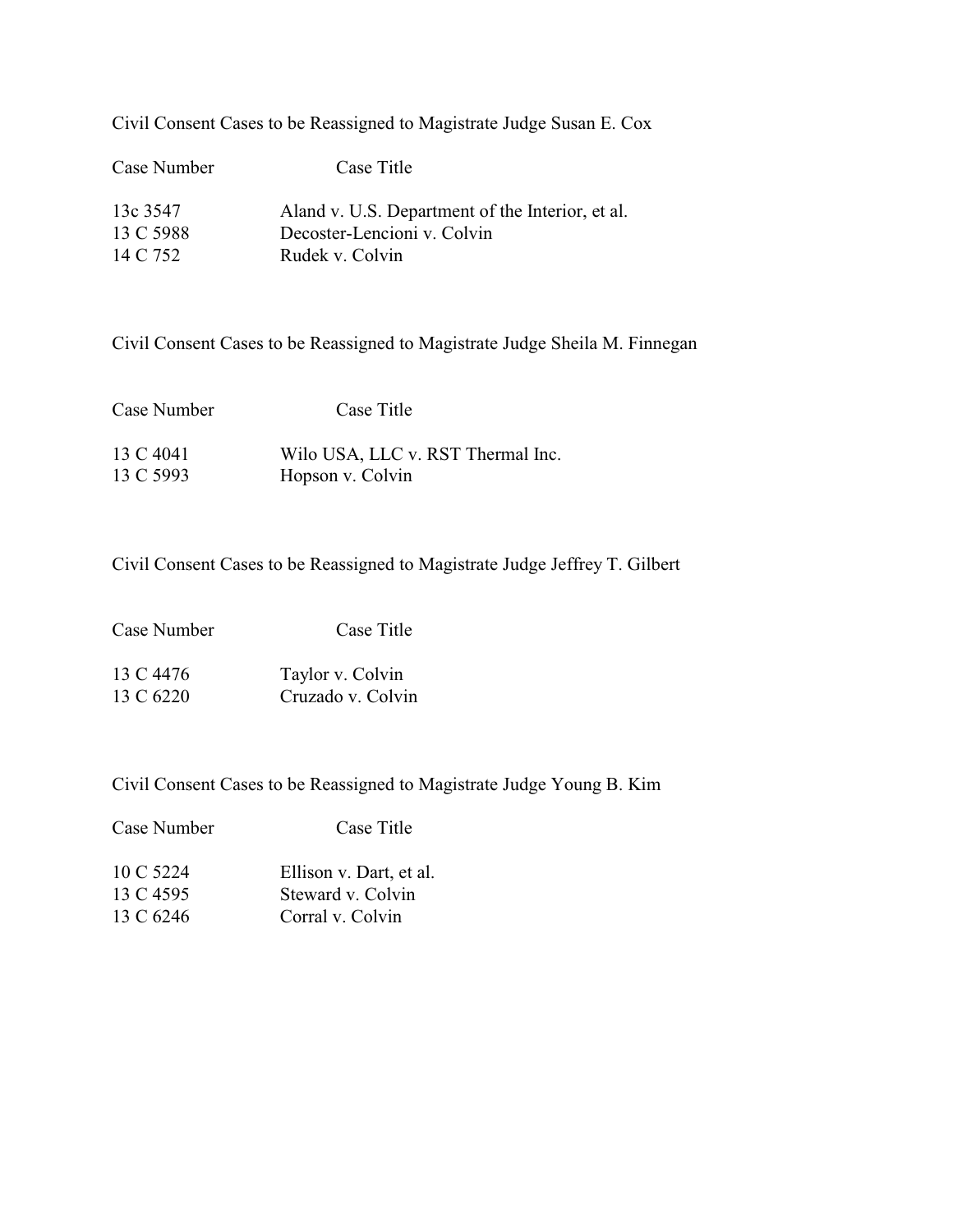Civil Consent Cases to be Reassigned to Magistrate Judge Susan E. Cox

| Case Number | Case Title                                       |
|-------------|--------------------------------------------------|
| 13c 3547    | Aland v. U.S. Department of the Interior, et al. |
| 13 C 5988   | Decoster-Lencioni v. Colvin                      |
| 14 C 752    | Rudek v. Colvin                                  |

Civil Consent Cases to be Reassigned to Magistrate Judge Sheila M. Finnegan

| Case Number | Case Title                        |
|-------------|-----------------------------------|
| 13 C 4041   | Wilo USA, LLC v. RST Thermal Inc. |
| 13 C 5993   | Hopson v. Colvin                  |

Civil Consent Cases to be Reassigned to Magistrate Judge Jeffrey T. Gilbert

| Case Number | Case Title       |
|-------------|------------------|
| 13 C 4476   | Taylor v. Colvin |

13 C 6220 Cruzado v. Colvin

Case Number Case Title

Civil Consent Cases to be Reassigned to Magistrate Judge Young B. Kim

| 10 C 5224 | Ellison v. Dart, et al. |
|-----------|-------------------------|
| 13 C 4595 | Steward v. Colvin       |
| 13 C 6246 | Corral v. Colvin        |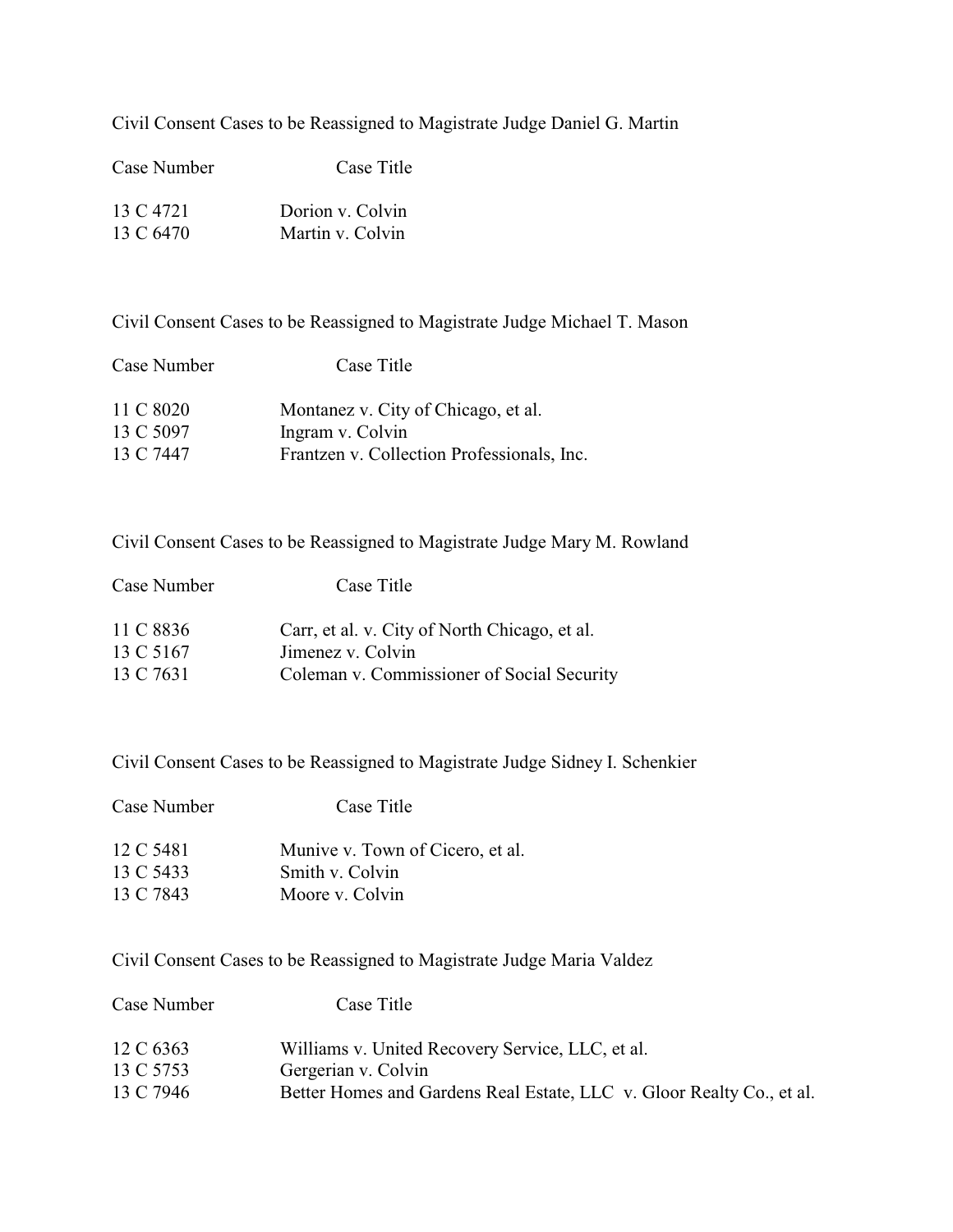Civil Consent Cases to be Reassigned to Magistrate Judge Daniel G. Martin

| Case Number | Case Title       |
|-------------|------------------|
| 13 C 4721   | Dorion v. Colvin |
| 13 C 6470   | Martin v. Colvin |

Civil Consent Cases to be Reassigned to Magistrate Judge Michael T. Mason

| Case Number | Case Title                                 |
|-------------|--------------------------------------------|
| 11 C 8020   | Montanez v. City of Chicago, et al.        |
| 13 C 5097   | Ingram v. Colvin                           |
| 13 C 7447   | Frantzen v. Collection Professionals, Inc. |

Civil Consent Cases to be Reassigned to Magistrate Judge Mary M. Rowland

| Case Number | Case Title                                    |
|-------------|-----------------------------------------------|
| 11 C 8836   | Carr, et al. v. City of North Chicago, et al. |
| 13 C 5167   | Jimenez v. Colvin                             |
| 13 C 7631   | Coleman v. Commissioner of Social Security    |

Civil Consent Cases to be Reassigned to Magistrate Judge Sidney I. Schenkier

| Case Title                       |
|----------------------------------|
| Munive v. Town of Cicero, et al. |
| Smith v. Colvin                  |
| Moore v. Colvin                  |
|                                  |

Civil Consent Cases to be Reassigned to Magistrate Judge Maria Valdez

| Case Number | Case Title                                                            |
|-------------|-----------------------------------------------------------------------|
| 12 C 6363   | Williams v. United Recovery Service, LLC, et al.                      |
| 13 C 5753   | Gergerian v. Colvin                                                   |
| 13 C 7946   | Better Homes and Gardens Real Estate, LLC v. Gloor Realty Co., et al. |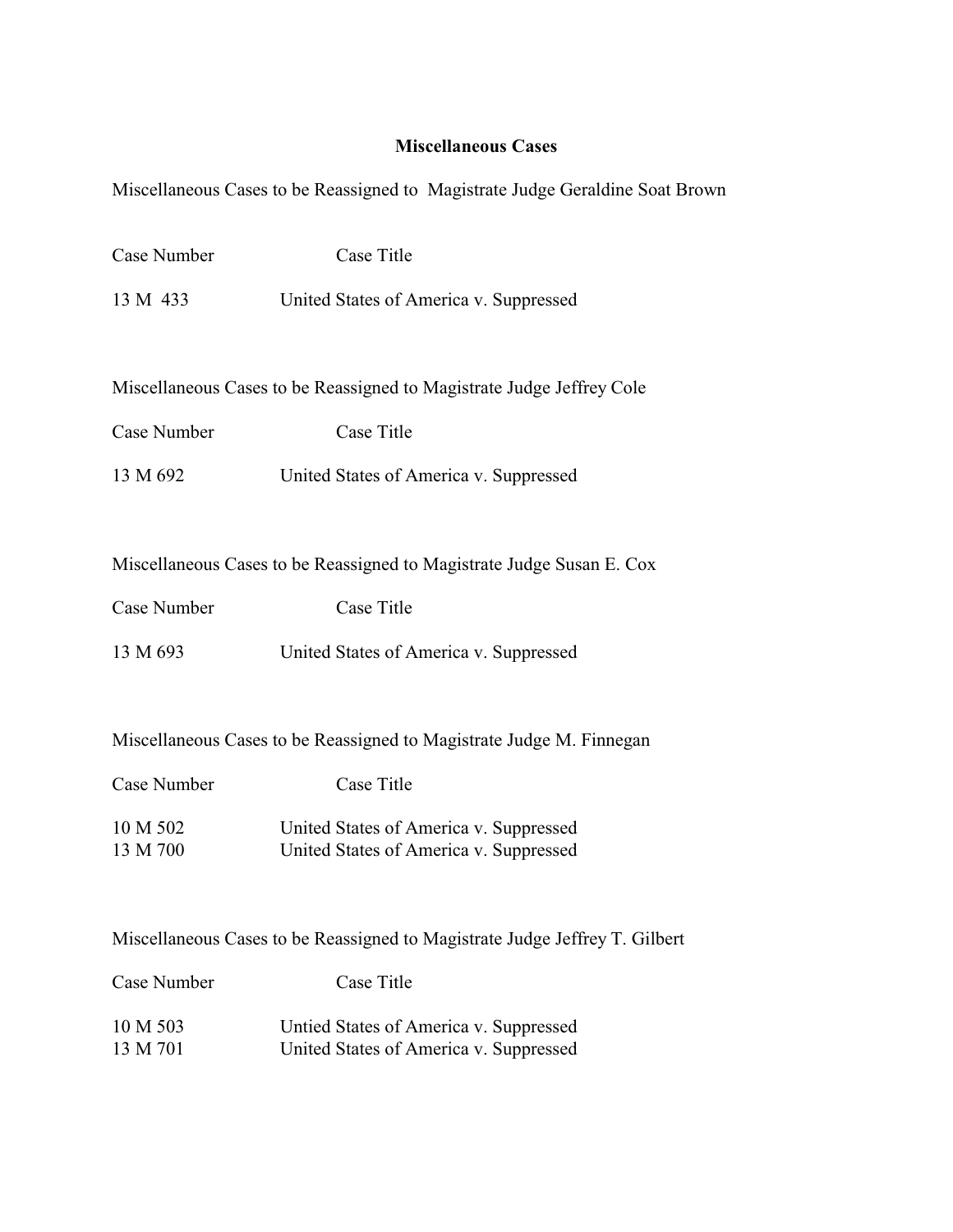## **Miscellaneous Cases**

Miscellaneous Cases to be Reassigned to Magistrate Judge Geraldine Soat Brown

| Case Title                                                                  |  |  |
|-----------------------------------------------------------------------------|--|--|
| United States of America v. Suppressed                                      |  |  |
|                                                                             |  |  |
|                                                                             |  |  |
| Miscellaneous Cases to be Reassigned to Magistrate Judge Jeffrey Cole       |  |  |
| Case Title                                                                  |  |  |
| United States of America v. Suppressed                                      |  |  |
|                                                                             |  |  |
| Miscellaneous Cases to be Reassigned to Magistrate Judge Susan E. Cox       |  |  |
|                                                                             |  |  |
| <b>Case Title</b>                                                           |  |  |
| United States of America v. Suppressed                                      |  |  |
|                                                                             |  |  |
| Miscellaneous Cases to be Reassigned to Magistrate Judge M. Finnegan        |  |  |
| Case Title                                                                  |  |  |
| United States of America v. Suppressed                                      |  |  |
| United States of America v. Suppressed                                      |  |  |
|                                                                             |  |  |
| Miscellaneous Cases to be Reassigned to Magistrate Judge Jeffrey T. Gilbert |  |  |
| Case Title                                                                  |  |  |
| Untied States of America v. Suppressed                                      |  |  |
| United States of America v. Suppressed                                      |  |  |
|                                                                             |  |  |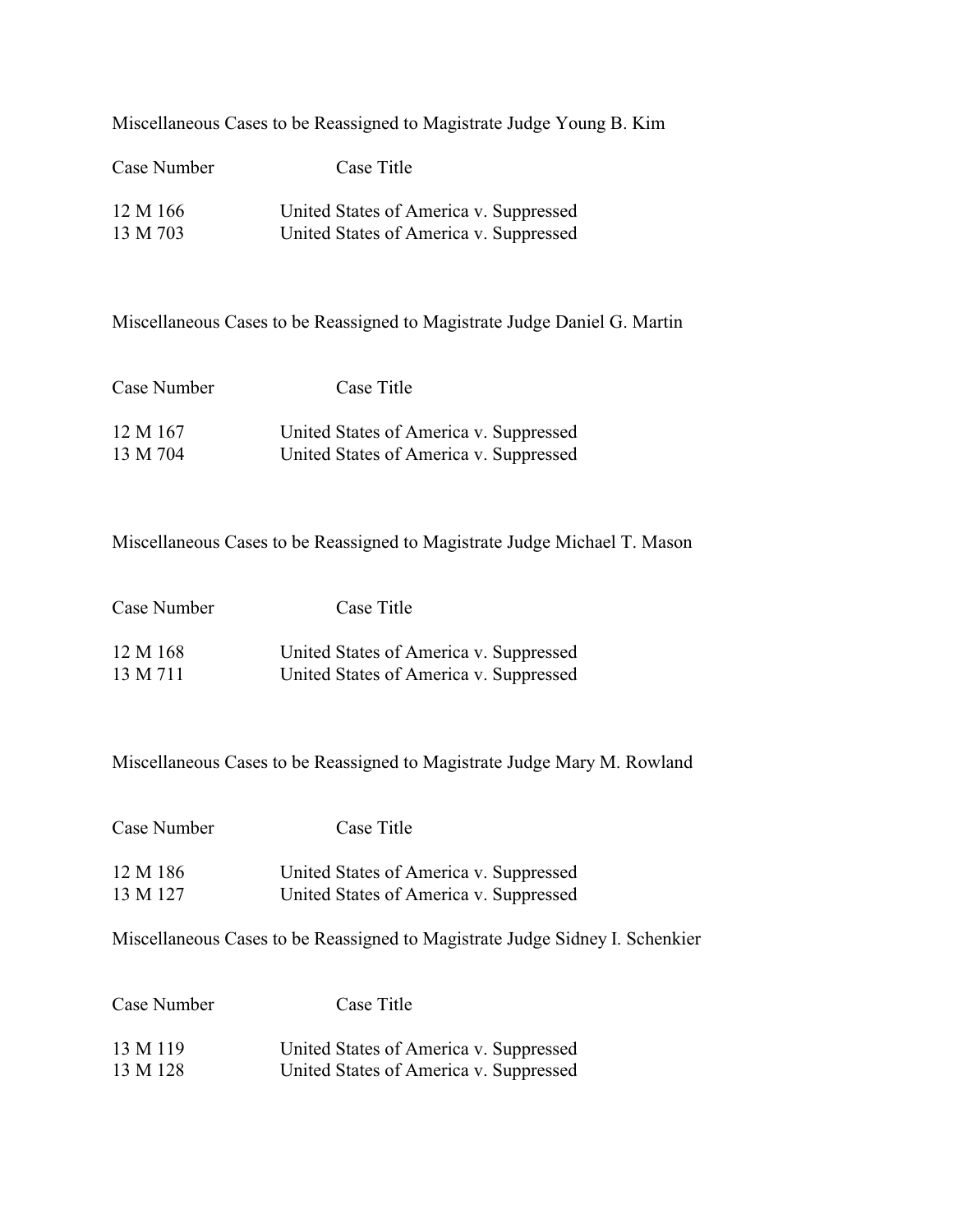Miscellaneous Cases to be Reassigned to Magistrate Judge Young B. Kim

| Case Number | Case Title                             |  |
|-------------|----------------------------------------|--|
| 12 M 166    | United States of America v. Suppressed |  |
| 13 M 703    | United States of America v. Suppressed |  |

Miscellaneous Cases to be Reassigned to Magistrate Judge Daniel G. Martin

| Case Number | Case Title                             |
|-------------|----------------------------------------|
| 12 M 167    | United States of America v. Suppressed |
| 13 M 704    | United States of America v. Suppressed |

Miscellaneous Cases to be Reassigned to Magistrate Judge Michael T. Mason

| Case Number | Case Title                             |  |
|-------------|----------------------------------------|--|
| 12 M 168    | United States of America v. Suppressed |  |
| 13 M 711    | United States of America v. Suppressed |  |

Miscellaneous Cases to be Reassigned to Magistrate Judge Mary M. Rowland

| Case Number | Case Title                             |  |
|-------------|----------------------------------------|--|
| 12 M 186    | United States of America v. Suppressed |  |
| 13 M 127    | United States of America v. Suppressed |  |

Miscellaneous Cases to be Reassigned to Magistrate Judge Sidney I. Schenkier

| Case Number | Case Title                             |
|-------------|----------------------------------------|
| 13 M 119    | United States of America v. Suppressed |
| 13 M 128    | United States of America v. Suppressed |